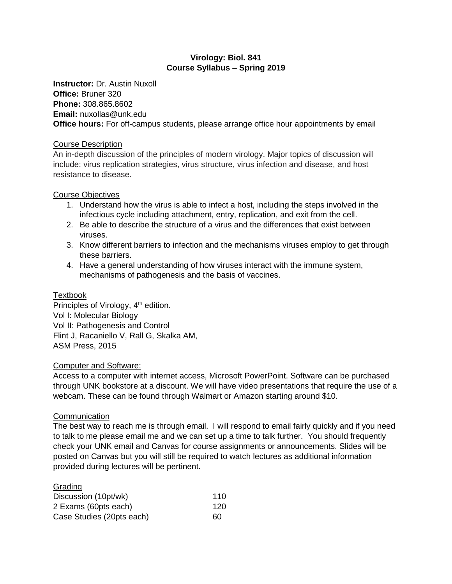# **Virology: Biol. 841 Course Syllabus – Spring 2019**

**Instructor:** Dr. Austin Nuxoll **Office:** Bruner 320 **Phone:** 308.865.8602 **Email:** nuxollas@unk.edu **Office hours:** For off-campus students, please arrange office hour appointments by email

# Course Description

An in-depth discussion of the principles of modern virology. Major topics of discussion will include: virus replication strategies, virus structure, virus infection and disease, and host resistance to disease.

# Course Objectives

- 1. Understand how the virus is able to infect a host, including the steps involved in the infectious cycle including attachment, entry, replication, and exit from the cell.
- 2. Be able to describe the structure of a virus and the differences that exist between viruses.
- 3. Know different barriers to infection and the mechanisms viruses employ to get through these barriers.
- 4. Have a general understanding of how viruses interact with the immune system, mechanisms of pathogenesis and the basis of vaccines.

## Textbook

Principles of Virology, 4<sup>th</sup> edition. Vol I: Molecular Biology Vol II: Pathogenesis and Control Flint J, Racaniello V, Rall G, Skalka AM, ASM Press, 2015

### Computer and Software:

Access to a computer with internet access, Microsoft PowerPoint. Software can be purchased through UNK bookstore at a discount. We will have video presentations that require the use of a webcam. These can be found through Walmart or Amazon starting around \$10.

# **Communication**

The best way to reach me is through email. I will respond to email fairly quickly and if you need to talk to me please email me and we can set up a time to talk further. You should frequently check your UNK email and Canvas for course assignments or announcements. Slides will be posted on Canvas but you will still be required to watch lectures as additional information provided during lectures will be pertinent.

| Grading                   |     |
|---------------------------|-----|
| Discussion (10pt/wk)      | 110 |
| 2 Exams (60pts each)      | 120 |
| Case Studies (20pts each) | ഩ   |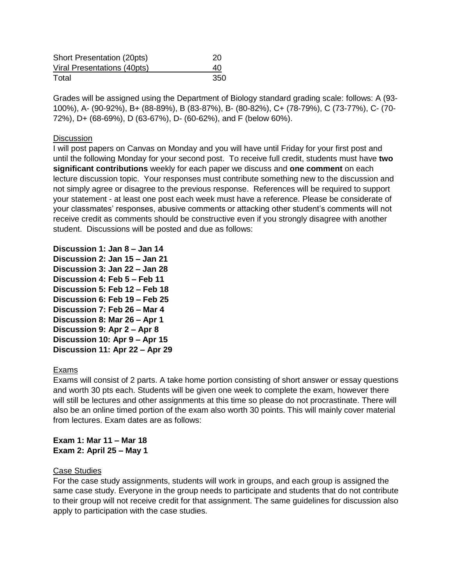| <b>Short Presentation (20pts)</b> | 20  |
|-----------------------------------|-----|
| Viral Presentations (40pts)       | 40  |
| Total                             | 350 |

Grades will be assigned using the Department of Biology standard grading scale: follows: A (93- 100%), A- (90-92%), B+ (88-89%), B (83-87%), B- (80-82%), C+ (78-79%), C (73-77%), C- (70- 72%), D+ (68-69%), D (63-67%), D- (60-62%), and F (below 60%).

### **Discussion**

I will post papers on Canvas on Monday and you will have until Friday for your first post and until the following Monday for your second post. To receive full credit, students must have **two significant contributions** weekly for each paper we discuss and **one comment** on each lecture discussion topic. Your responses must contribute something new to the discussion and not simply agree or disagree to the previous response. References will be required to support your statement - at least one post each week must have a reference. Please be considerate of your classmates' responses, abusive comments or attacking other student's comments will not receive credit as comments should be constructive even if you strongly disagree with another student. Discussions will be posted and due as follows:

**Discussion 1: Jan 8 – Jan 14 Discussion 2: Jan 15 – Jan 21 Discussion 3: Jan 22 – Jan 28 Discussion 4: Feb 5 – Feb 11 Discussion 5: Feb 12 – Feb 18 Discussion 6: Feb 19 – Feb 25 Discussion 7: Feb 26 – Mar 4 Discussion 8: Mar 26 – Apr 1 Discussion 9: Apr 2 – Apr 8 Discussion 10: Apr 9 – Apr 15 Discussion 11: Apr 22 – Apr 29**

### Exams

Exams will consist of 2 parts. A take home portion consisting of short answer or essay questions and worth 30 pts each. Students will be given one week to complete the exam, however there will still be lectures and other assignments at this time so please do not procrastinate. There will also be an online timed portion of the exam also worth 30 points. This will mainly cover material from lectures. Exam dates are as follows:

# **Exam 1: Mar 11 – Mar 18 Exam 2: April 25 – May 1**

### Case Studies

For the case study assignments, students will work in groups, and each group is assigned the same case study. Everyone in the group needs to participate and students that do not contribute to their group will not receive credit for that assignment. The same guidelines for discussion also apply to participation with the case studies.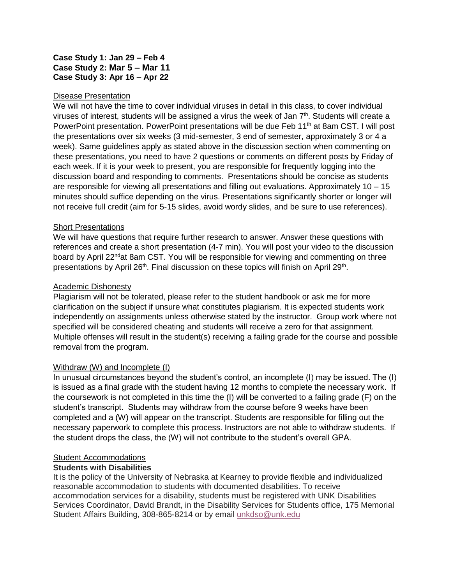# **Case Study 1: Jan 29 – Feb 4 Case Study 2: Mar 5 – Mar 11 Case Study 3: Apr 16 – Apr 22**

### Disease Presentation

We will not have the time to cover individual viruses in detail in this class, to cover individual viruses of interest, students will be assigned a virus the week of Jan  $7<sup>th</sup>$ . Students will create a PowerPoint presentation. PowerPoint presentations will be due Feb 11<sup>th</sup> at 8am CST. I will post the presentations over six weeks (3 mid-semester, 3 end of semester, approximately 3 or 4 a week). Same guidelines apply as stated above in the discussion section when commenting on these presentations, you need to have 2 questions or comments on different posts by Friday of each week. If it is your week to present, you are responsible for frequently logging into the discussion board and responding to comments. Presentations should be concise as students are responsible for viewing all presentations and filling out evaluations. Approximately 10 – 15 minutes should suffice depending on the virus. Presentations significantly shorter or longer will not receive full credit (aim for 5-15 slides, avoid wordy slides, and be sure to use references).

# Short Presentations

We will have questions that require further research to answer. Answer these questions with references and create a short presentation (4-7 min). You will post your video to the discussion board by April 22<sup>nd</sup>at 8am CST. You will be responsible for viewing and commenting on three presentations by April 26<sup>th</sup>. Final discussion on these topics will finish on April 29<sup>th</sup>.

## Academic Dishonesty

Plagiarism will not be tolerated, please refer to the student handbook or ask me for more clarification on the subject if unsure what constitutes plagiarism. It is expected students work independently on assignments unless otherwise stated by the instructor. Group work where not specified will be considered cheating and students will receive a zero for that assignment. Multiple offenses will result in the student(s) receiving a failing grade for the course and possible removal from the program.

# Withdraw (W) and Incomplete (I)

In unusual circumstances beyond the student's control, an incomplete (I) may be issued. The (I) is issued as a final grade with the student having 12 months to complete the necessary work. If the coursework is not completed in this time the (I) will be converted to a failing grade (F) on the student's transcript. Students may withdraw from the course before 9 weeks have been completed and a (W) will appear on the transcript. Students are responsible for filling out the necessary paperwork to complete this process. Instructors are not able to withdraw students. If the student drops the class, the (W) will not contribute to the student's overall GPA.

# Student Accommodations

# **Students with Disabilities**

It is the policy of the University of Nebraska at Kearney to provide flexible and individualized reasonable accommodation to students with documented disabilities. To receive accommodation services for a disability, students must be registered with UNK Disabilities Services Coordinator, David Brandt, in the Disability Services for Students office, 175 Memorial Student Affairs Building, 308-865-8214 or by email [unkdso@unk.edu](mailto:unkdso@unk.edu)